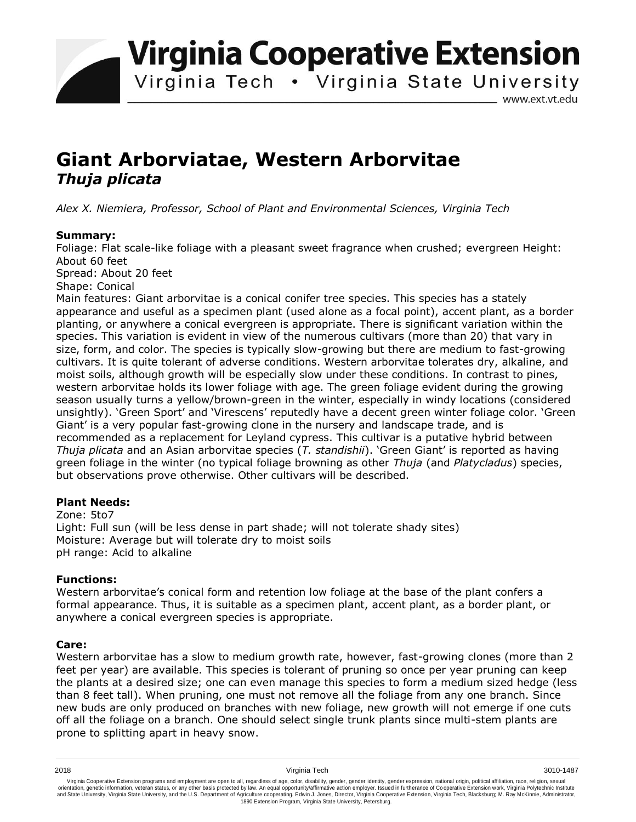**Virginia Cooperative Extension** 

Virginia Tech . Virginia State University

www.ext.vt.edu

# **Giant Arborviatae, Western Arborvitae**  *Thuja plicata*

*Alex X. Niemiera, Professor, School of Plant and Environmental Sciences, Virginia Tech*

## **Summary:**

Foliage: Flat scale-like foliage with a pleasant sweet fragrance when crushed; evergreen Height: About 60 feet

Spread: About 20 feet

Shape: Conical

Main features: Giant arborvitae is a conical conifer tree species. This species has a stately appearance and useful as a specimen plant (used alone as a focal point), accent plant, as a border planting, or anywhere a conical evergreen is appropriate. There is significant variation within the species. This variation is evident in view of the numerous cultivars (more than 20) that vary in size, form, and color. The species is typically slow-growing but there are medium to fast-growing cultivars. It is quite tolerant of adverse conditions. Western arborvitae tolerates dry, alkaline, and moist soils, although growth will be especially slow under these conditions. In contrast to pines, western arborvitae holds its lower foliage with age. The green foliage evident during the growing season usually turns a yellow/brown-green in the winter, especially in windy locations (considered unsightly). 'Green Sport' and 'Virescens' reputedly have a decent green winter foliage color. 'Green Giant' is a very popular fast-growing clone in the nursery and landscape trade, and is recommended as a replacement for Leyland cypress. This cultivar is a putative hybrid between *Thuja plicata* and an Asian arborvitae species (*T. standishii*). 'Green Giant' is reported as having green foliage in the winter (no typical foliage browning as other *Thuja* (and *Platycladus*) species, but observations prove otherwise. Other cultivars will be described.

## **Plant Needs:**

Zone: 5to7 Light: Full sun (will be less dense in part shade; will not tolerate shady sites) Moisture: Average but will tolerate dry to moist soils pH range: Acid to alkaline

## **Functions:**

Western arborvitae's conical form and retention low foliage at the base of the plant confers a formal appearance. Thus, it is suitable as a specimen plant, accent plant, as a border plant, or anywhere a conical evergreen species is appropriate.

## **Care:**

Western arborvitae has a slow to medium growth rate, however, fast-growing clones (more than 2 feet per year) are available. This species is tolerant of pruning so once per year pruning can keep the plants at a desired size; one can even manage this species to form a medium sized hedge (less than 8 feet tall). When pruning, one must not remove all the foliage from any one branch. Since new buds are only produced on branches with new foliage, new growth will not emerge if one cuts off all the foliage on a branch. One should select single trunk plants since multi-stem plants are prone to splitting apart in heavy snow.